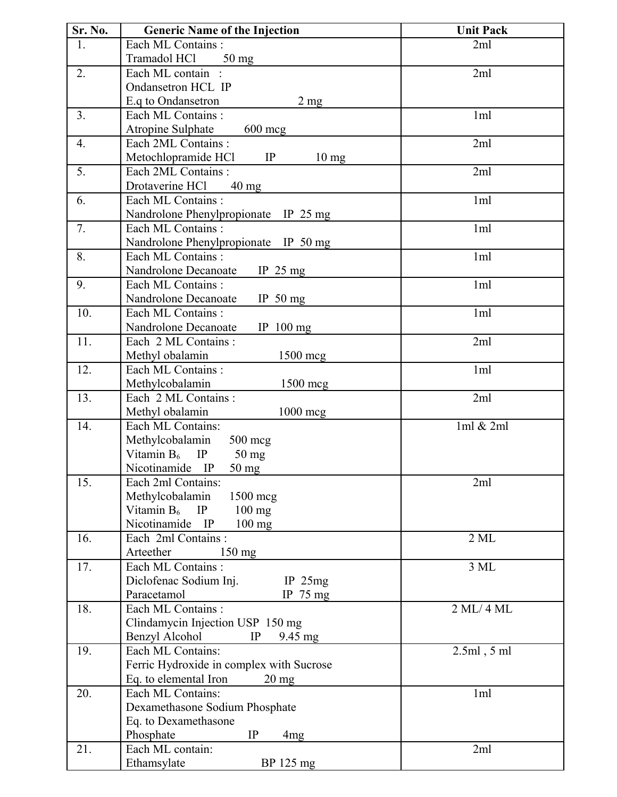| Sr. No.        | <b>Generic Name of the Injection</b>                      | <b>Unit Pack</b> |
|----------------|-----------------------------------------------------------|------------------|
| 1.             | Each ML Contains:                                         | 2ml              |
|                | Tramadol HCl<br>$50$ mg                                   |                  |
| 2.             | Each ML contain :                                         | 2ml              |
|                | Ondansetron HCL IP                                        |                  |
|                | E.q to Ondansetron<br>$2 \text{ mg}$                      |                  |
| 3 <sub>1</sub> | Each ML Contains:                                         | 1 <sub>ml</sub>  |
|                | Atropine Sulphate<br>$600 \text{~mg}$                     |                  |
| 4.             | Each 2ML Contains:                                        | 2ml              |
|                | Metochlopramide HCl<br>IP<br>$10 \text{ mg}$              |                  |
| 5.             | Each 2ML Contains:                                        | 2ml              |
|                | Drotaverine HCl<br>$40 \text{ mg}$                        |                  |
| 6.             | Each ML Contains:                                         | 1 <sub>ml</sub>  |
|                | Nandrolone Phenylpropionate IP 25 mg                      |                  |
| 7.             | Each ML Contains:                                         | 1ml              |
|                | Nandrolone Phenylpropionate IP 50 mg                      |                  |
| 8.             | Each ML Contains:                                         | 1ml              |
|                | Nandrolone Decanoate<br>IP $25 \text{ mg}$                |                  |
| 9.             | Each ML Contains:                                         | 1ml              |
|                | Nandrolone Decanoate<br>IP $50 \text{ mg}$                |                  |
| 10.            | Each ML Contains:                                         | 1ml              |
|                | Nandrolone Decanoate<br>IP $100$ mg                       |                  |
| 11.            | Each 2 ML Contains:                                       | 2ml              |
|                | Methyl obalamin<br>1500 mcg                               |                  |
| 12.            | Each ML Contains:                                         | 1ml              |
|                | Methylcobalamin<br>1500 mcg                               |                  |
| 13.            | Each 2 ML Contains:                                       | 2ml              |
|                | Methyl obalamin<br>1000 mcg                               |                  |
| 14.            | Each ML Contains:                                         | 1ml & 2ml        |
|                | Methylcobalamin<br>$500 \text{ mg}$                       |                  |
|                | Vitamin $B_6$<br>IP<br>$50 \text{ mg}$<br>Nicotinamide IP |                  |
| 15.            | 50 mg<br>Each 2ml Contains:                               | 2ml              |
|                | Methylcobalamin                                           |                  |
|                | 1500 mcg<br>Vitamin $B_6$ IP<br>$100$ mg                  |                  |
|                | Nicotinamide IP<br>$100$ mg                               |                  |
| 16.            | Each 2ml Contains:                                        | $2$ ML           |
|                | Arteether<br>$150 \text{ mg}$                             |                  |
| 17.            | Each ML Contains:                                         | 3 ML             |
|                | Diclofenac Sodium Inj.<br>IP $25mg$                       |                  |
|                | Paracetamol<br>IP $75 \text{ mg}$                         |                  |
| 18.            | Each ML Contains:                                         | 2 ML/4 ML        |
|                | Clindamycin Injection USP 150 mg                          |                  |
|                | Benzyl Alcohol<br>IP<br>9.45 mg                           |                  |
| 19.            | Each ML Contains:                                         | $2.5ml$ , $5ml$  |
|                | Ferric Hydroxide in complex with Sucrose                  |                  |
|                | Eq. to elemental Iron<br>$20 \text{ mg}$                  |                  |
| 20.            | Each ML Contains:                                         | 1 <sub>ml</sub>  |
|                | Dexamethasone Sodium Phosphate                            |                  |
|                | Eq. to Dexamethasone                                      |                  |
|                | Phosphate<br>IP<br>4mg                                    |                  |
| 21.            | Each ML contain:                                          | 2ml              |
|                | Ethamsylate<br>BP 125 mg                                  |                  |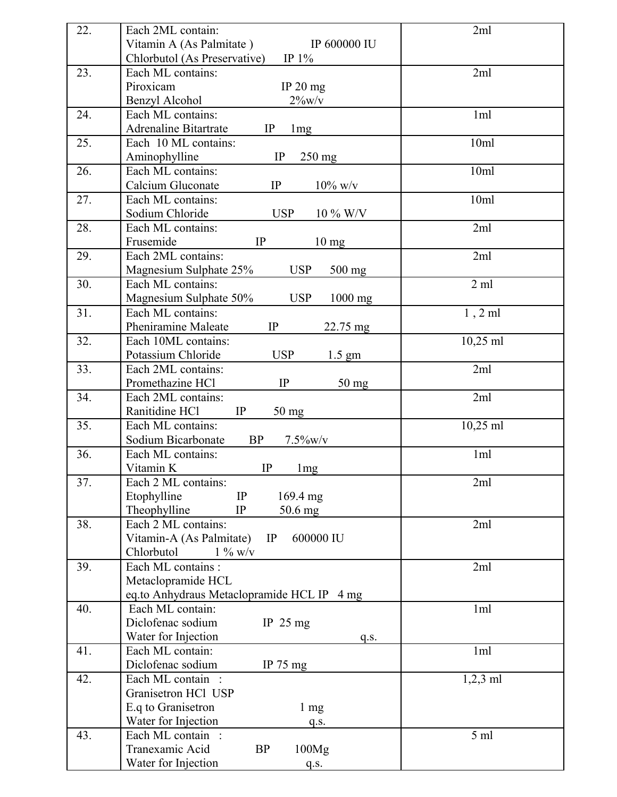| 22. | Each 2ML contain:                                     | 2ml             |
|-----|-------------------------------------------------------|-----------------|
|     | Vitamin A (As Palmitate)<br><b>IP 600000 IU</b>       |                 |
|     | IP $1\%$<br>Chlorbutol (As Preservative)              |                 |
| 23. | Each ML contains:                                     | 2ml             |
|     | Piroxicam<br>IP $20$ mg                               |                 |
|     | $2\%$ w/v<br>Benzyl Alcohol                           |                 |
| 24. | Each ML contains:                                     | 1ml             |
|     | <b>Adrenaline Bitartrate</b><br>IP<br>1 <sub>mg</sub> |                 |
| 25. | Each 10 ML contains:                                  | 10ml            |
|     | 250 mg<br>Aminophylline<br>IP                         |                 |
| 26. | Each ML contains:                                     | 10ml            |
|     | Calcium Gluconate<br>IP<br>$10\%$ w/v                 |                 |
| 27. | Each ML contains:                                     | 10ml            |
|     | Sodium Chloride<br><b>USP</b><br>$10\%$ W/V           |                 |
| 28. | Each ML contains:                                     | 2ml             |
|     | Frusemide<br>IP<br>$10 \text{ mg}$                    |                 |
| 29. | Each 2ML contains:                                    | 2ml             |
|     | Magnesium Sulphate 25%<br><b>USP</b><br>500 mg        |                 |
| 30. | Each ML contains:                                     | 2ml             |
|     | Magnesium Sulphate 50%<br><b>USP</b><br>$1000$ mg     |                 |
| 31. | Each ML contains:                                     | $1, 2$ ml       |
|     | Pheniramine Maleate<br>IP<br>22.75 mg                 |                 |
| 32. | Each 10ML contains:                                   | 10,25 ml        |
|     | Potassium Chloride<br><b>USP</b><br>$1.5 \text{ gm}$  |                 |
| 33. | Each 2ML contains:                                    | 2ml             |
|     | Promethazine HCl<br>IP<br>50 mg                       |                 |
| 34. | Each 2ML contains:                                    | 2ml             |
|     | Ranitidine HCl<br>IP<br>50 mg                         |                 |
| 35. | Each ML contains:                                     | 10,25 ml        |
|     | Sodium Bicarbonate<br>BP<br>$7.5\%$ w/v               |                 |
| 36. | Each ML contains:                                     | 1ml             |
|     | IP<br>Vitamin K<br>1 <sub>mg</sub>                    |                 |
| 37. | Each 2 ML contains:                                   | 2ml             |
|     | Etophylline<br>IP<br>169.4 mg                         |                 |
|     | Theophylline<br>IP<br>50.6 mg                         |                 |
| 38. | Each 2 ML contains:                                   | 2ml             |
|     | 600000 IU<br>Vitamin-A (As Palmitate)<br>IP           |                 |
|     | Chlorbutol<br>$1\%$ w/v                               |                 |
| 39. | Each ML contains :                                    | 2ml             |
|     | Metaclopramide HCL                                    |                 |
|     | eq.to Anhydraus Metaclopramide HCL IP 4 mg            |                 |
| 40. | Each ML contain:                                      | 1 <sub>ml</sub> |
|     | Diclofenac sodium<br>IP $25 \text{ mg}$               |                 |
|     | Water for Injection<br>q.s.                           |                 |
| 41. | Each ML contain:                                      | 1 <sub>ml</sub> |
|     | Diclofenac sodium<br>IP $75 \text{ mg}$               |                 |
| 42. | Each ML contain :                                     | $1,2,3$ ml      |
|     | Granisetron HCl USP                                   |                 |
|     | E.q to Granisetron<br>$1 \text{ mg}$                  |                 |
|     | Water for Injection<br>q.s.                           |                 |
| 43. | Each ML contain :                                     | 5 <sub>ml</sub> |
|     | Tranexamic Acid<br><b>BP</b><br>100Mg                 |                 |
|     | Water for Injection<br>q.s.                           |                 |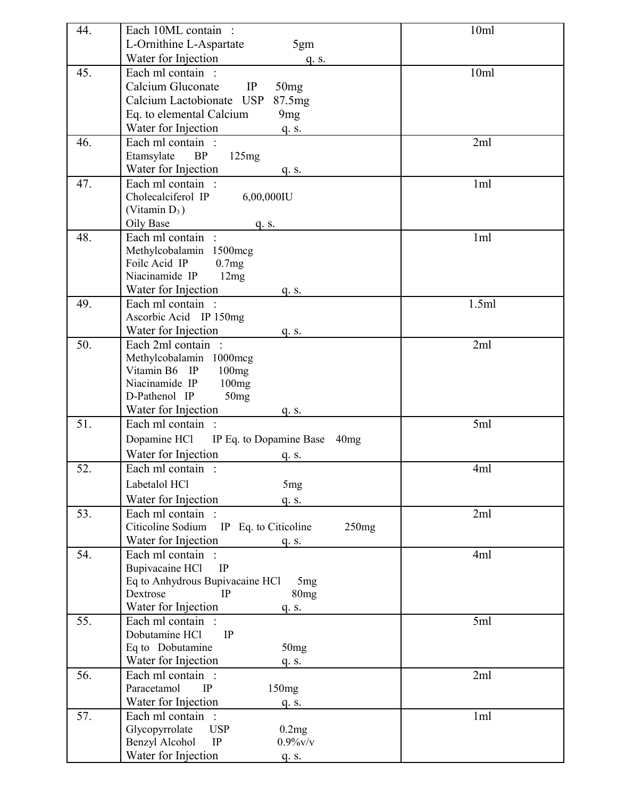| 44. | Each 10ML contain :                                | 10ml            |
|-----|----------------------------------------------------|-----------------|
|     | L-Ornithine L-Aspartate<br>5gm                     |                 |
|     | Water for Injection<br>q. s.                       |                 |
| 45. | Each ml contain :                                  | 10ml            |
|     | Calcium Gluconate<br>IP<br>50mg                    |                 |
|     | Calcium Lactobionate USP<br>87.5mg                 |                 |
|     | Eq. to elemental Calcium<br>9 <sub>mg</sub>        |                 |
|     | Water for Injection<br>q. s.                       |                 |
| 46. | Each ml contain :                                  | 2ml             |
|     | Etamsylate<br>BP<br>125mg                          |                 |
|     | Water for Injection<br>q. s.                       |                 |
| 47. | Each ml contain:                                   | 1 <sub>ml</sub> |
|     | Cholecalciferol IP<br>6,00,000IU                   |                 |
|     | (Vitamin $D_3$ )                                   |                 |
|     | Oily Base<br>q. s.                                 |                 |
| 48. | Each ml contain:                                   | 1 <sub>ml</sub> |
|     | Methylcobalamin 1500mcg                            |                 |
|     | Foilc Acid IP<br>0.7mg                             |                 |
|     | Niacinamide IP<br>12mg                             |                 |
|     | Water for Injection<br>q. s.                       |                 |
| 49. | Each ml contain :                                  | 1.5ml           |
|     | Ascorbic Acid IP 150mg                             |                 |
|     | Water for Injection<br>q. s.                       |                 |
| 50. | Each 2ml contain :                                 | 2ml             |
|     | Methylcobalamin 1000mcg                            |                 |
|     | Vitamin B6 IP<br>100mg                             |                 |
|     | Niacinamide IP<br>100mg                            |                 |
|     | D-Pathenol IP<br>50mg                              |                 |
|     | Water for Injection<br>q. s.                       |                 |
| 51. | Each ml contain :                                  | 5ml             |
|     | Dopamine HCl<br>IP Eq. to Dopamine Base 40mg       |                 |
|     | Water for Injection<br>q. s.                       |                 |
| 52. | Each ml contain:                                   | 4ml             |
|     | Labetalol HCl<br>5 <sub>mg</sub>                   |                 |
|     | Water for Injection<br>q. S.                       |                 |
| 53. | Each ml contain :                                  | 2ml             |
|     | Citicoline Sodium IP Eq. to Citicoline<br>250mg    |                 |
|     | Water for Injection<br>q. s.                       |                 |
| 54. | Each ml contain                                    | 4ml             |
|     | <b>Bupivacaine HCl</b><br>IP                       |                 |
|     | Eq to Anhydrous Bupivacaine HCl<br>5 <sub>mg</sub> |                 |
|     | Dextrose<br>IP<br>80 <sub>mg</sub>                 |                 |
|     | Water for Injection<br>q. s.                       |                 |
| 55. | Each ml contain :                                  | 5ml             |
|     | Dobutamine HCl<br>IP                               |                 |
|     | Eq to Dobutamine<br>50mg                           |                 |
|     | Water for Injection<br>q. s.                       |                 |
| 56. | Each ml contain :                                  | 2ml             |
|     | Paracetamol<br>IP<br>150mg                         |                 |
|     | Water for Injection<br>q. S.                       |                 |
| 57. | Each ml contain :                                  | 1ml             |
|     | Glycopyrrolate<br><b>USP</b><br>0.2mg              |                 |
|     | Benzyl Alcohol<br>IP<br>$0.9\%$ v/v                |                 |
|     | Water for Injection<br>q. s.                       |                 |